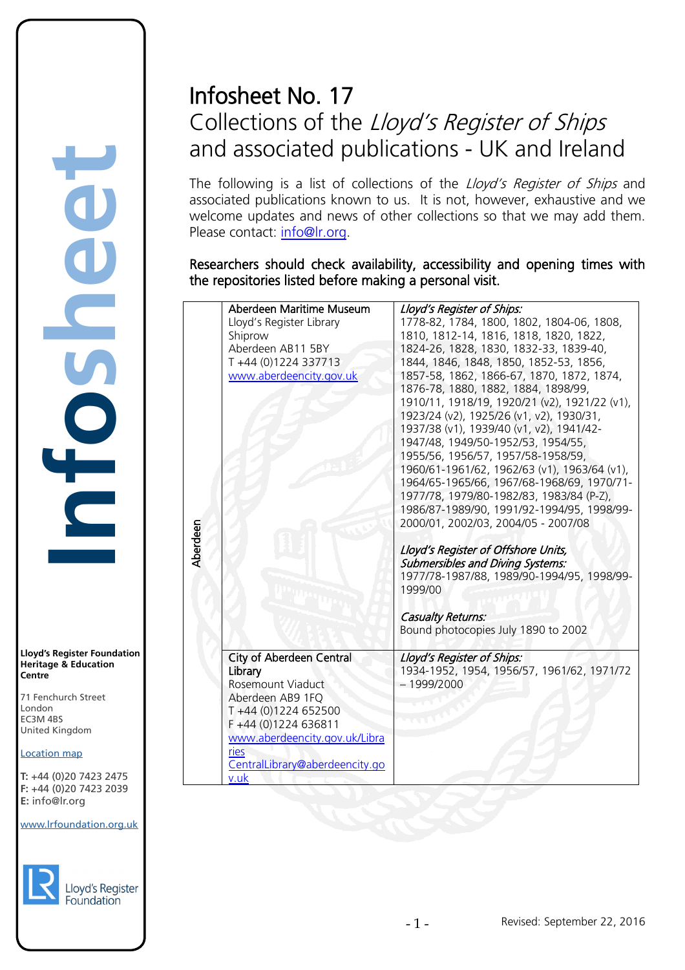# Infosheet No. 17 Collections of the Lloyd's Register of Ships and associated publications - UK and Ireland

The following is a list of collections of the *Lloyd's Register of Ships* and associated publications known to us. It is not, however, exhaustive and we welcome updates and news of other collections so that we may add them. Please contact: [info@lr.org.](mailto:info@lr.org)

Researchers should check availability, accessibility and opening times with the repositories listed before making a personal visit.

|          | Aberdeen Maritime Museum        | Lloyd's Register of Ships:                    |
|----------|---------------------------------|-----------------------------------------------|
|          | Lloyd's Register Library        | 1778-82, 1784, 1800, 1802, 1804-06, 1808,     |
|          | Shiprow                         | 1810, 1812-14, 1816, 1818, 1820, 1822,        |
|          | Aberdeen AB11 5BY               | 1824-26, 1828, 1830, 1832-33, 1839-40,        |
|          | T+44 (0)1224 337713             | 1844, 1846, 1848, 1850, 1852-53, 1856,        |
|          | www.aberdeencity.gov.uk         | 1857-58, 1862, 1866-67, 1870, 1872, 1874,     |
|          |                                 | 1876-78, 1880, 1882, 1884, 1898/99,           |
|          |                                 | 1910/11, 1918/19, 1920/21 (v2), 1921/22 (v1), |
|          |                                 | 1923/24 (v2), 1925/26 (v1, v2), 1930/31,      |
|          |                                 | 1937/38 (v1), 1939/40 (v1, v2), 1941/42-      |
|          |                                 | 1947/48, 1949/50-1952/53, 1954/55,            |
|          |                                 | 1955/56, 1956/57, 1957/58-1958/59,            |
|          |                                 | 1960/61-1961/62, 1962/63 (v1), 1963/64 (v1),  |
|          |                                 | 1964/65-1965/66, 1967/68-1968/69, 1970/71-    |
|          |                                 | 1977/78, 1979/80-1982/83, 1983/84 (P-Z),      |
|          |                                 | 1986/87-1989/90, 1991/92-1994/95, 1998/99-    |
|          |                                 | 2000/01, 2002/03, 2004/05 - 2007/08           |
| Aberdeen |                                 |                                               |
|          |                                 | Lloyd's Register of Offshore Units,           |
|          |                                 | <b>Submersibles and Diving Systems:</b>       |
|          |                                 | 1977/78-1987/88, 1989/90-1994/95, 1998/99-    |
|          |                                 | 1999/00                                       |
|          |                                 | <b>Casualty Returns:</b>                      |
|          |                                 | Bound photocopies July 1890 to 2002           |
|          |                                 |                                               |
|          | <b>City of Aberdeen Central</b> | Lloyd's Register of Ships:                    |
|          | Library                         | 1934-1952, 1954, 1956/57, 1961/62, 1971/72    |
|          | Rosemount Viaduct               | $-1999/2000$                                  |
|          | Aberdeen AB9 1FQ                |                                               |
|          | T +44 (0)1224 652500            |                                               |
|          | F +44 (0)1224 636811            |                                               |
|          | www.aberdeencity.gov.uk/Libra   |                                               |
|          | ries                            |                                               |
|          | CentralLibrary@aberdeencity.go  |                                               |
|          | v.uk                            |                                               |
|          |                                 |                                               |

**Infosheet** rd's Register Foundat<br>
itage & Education<br>
tre<br>
Eenchurch Street<br>
don<br>
M 4BS<br>
ted Kingdom<br>
ation map<br>
44 (0)20 7423 2475<br>
44 (0)20 7423 2039<br>
nfo@lr.org 

**Lloyd's Register Foundation Heritage & Education Centre**

71 Fenchurch Street London Information Services EC3M 4BS United Kingdom EC3M 4BS

### Location map

T: +44 (0)20 7423 2475 **F:** +44 (0)20 7423 2039 Fax: +44 (0)20 7423 2039 **E:** info@lr.org  $F \rightarrow (0/20, 1 + 2)$ 

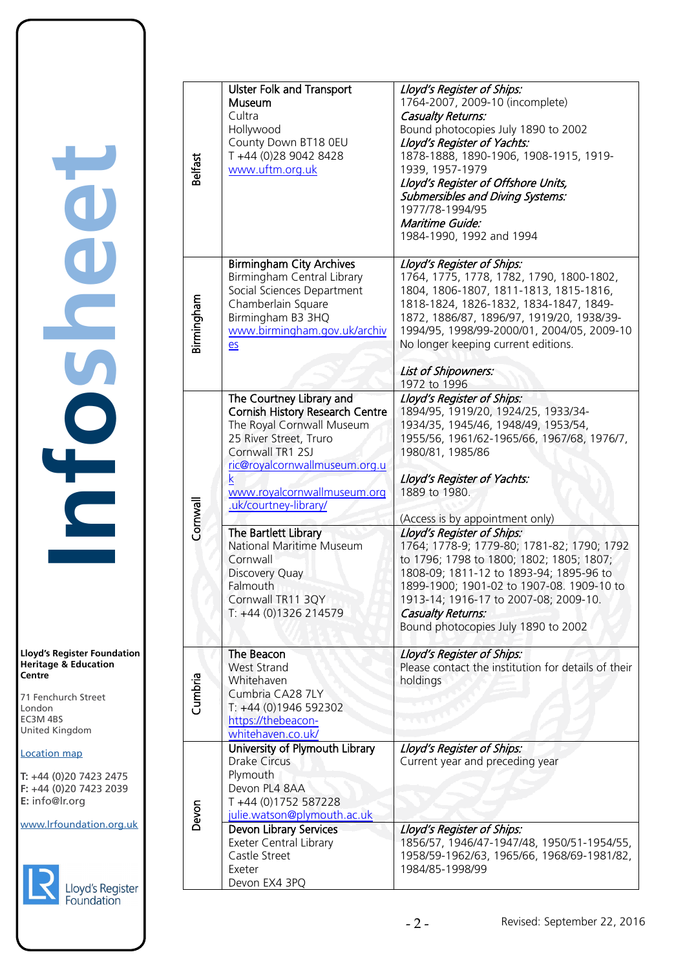**Lloyd's Register Foundation Heritage & Education Centre**

71 Fenchurch Street London EC3M 4BS United Kingdom Information Services EC3M 4BS

### Location map

T: +44 (0)20 7423 2475 **F:** +44 (0)20 7423 2039 Fax: +44 (0)20 7423 2039 **E:** info@lr.org  $F \rightarrow (0/20, 1 + 2)$ 



| Belfast    | <b>Ulster Folk and Transport</b><br>Museum<br>Cultra<br>Hollywood<br>County Down BT18 0EU<br>T +44 (0)28 9042 8428<br>www.uftm.org.uk                                                                                                                                                                                                                     | Lloyd's Register of Ships:<br>1764-2007, 2009-10 (incomplete)<br><b>Casualty Returns:</b><br>Bound photocopies July 1890 to 2002<br>Lloyd's Register of Yachts:<br>1878-1888, 1890-1906, 1908-1915, 1919-<br>1939, 1957-1979<br>Lloyd's Register of Offshore Units,<br><b>Submersibles and Diving Systems:</b><br>1977/78-1994/95<br>Maritime Guide:<br>1984-1990, 1992 and 1994                                                                                                                                       |
|------------|-----------------------------------------------------------------------------------------------------------------------------------------------------------------------------------------------------------------------------------------------------------------------------------------------------------------------------------------------------------|------------------------------------------------------------------------------------------------------------------------------------------------------------------------------------------------------------------------------------------------------------------------------------------------------------------------------------------------------------------------------------------------------------------------------------------------------------------------------------------------------------------------|
| Birmingham | <b>Birmingham City Archives</b><br>Birmingham Central Library<br>Social Sciences Department<br>Chamberlain Square<br>Birmingham B3 3HQ<br>www.birmingham.gov.uk/archiv<br>$e$                                                                                                                                                                             | Lloyd's Register of Ships:<br>1764, 1775, 1778, 1782, 1790, 1800-1802,<br>1804, 1806-1807, 1811-1813, 1815-1816,<br>1818-1824, 1826-1832, 1834-1847, 1849-<br>1872, 1886/87, 1896/97, 1919/20, 1938/39-<br>1994/95, 1998/99-2000/01, 2004/05, 2009-10<br>No longer keeping current editions.<br>List of Shipowners:                                                                                                                                                                                                    |
|            |                                                                                                                                                                                                                                                                                                                                                           | 1972 to 1996                                                                                                                                                                                                                                                                                                                                                                                                                                                                                                           |
| Cornwal    | The Courtney Library and<br><b>Cornish History Research Centre</b><br>The Royal Cornwall Museum<br>25 River Street, Truro<br>Cornwall TR1 2SJ<br>ric@royalcornwallmuseum.org.u<br>www.royalcornwallmuseum.org<br>.uk/courtney-library/<br>The Bartlett Library<br>National Maritime Museum<br>Cornwall<br>Discovery Quay<br>Falmouth<br>Cornwall TR11 3QY | Lloyd's Register of Ships:<br>1894/95, 1919/20, 1924/25, 1933/34-<br>1934/35, 1945/46, 1948/49, 1953/54,<br>1955/56, 1961/62-1965/66, 1967/68, 1976/7,<br>1980/81, 1985/86<br>Lloyd's Register of Yachts:<br>1889 to 1980.<br>(Access is by appointment only)<br>Lloyd's Register of Ships:<br>1764; 1778-9; 1779-80; 1781-82; 1790; 1792<br>to 1796; 1798 to 1800; 1802; 1805; 1807;<br>1808-09; 1811-12 to 1893-94; 1895-96 to<br>1899-1900; 1901-02 to 1907-08. 1909-10 to<br>1913-14; 1916-17 to 2007-08; 2009-10. |
|            | T: +44 (0)1326 214579                                                                                                                                                                                                                                                                                                                                     | <b>Casualty Returns:</b><br>Bound photocopies July 1890 to 2002                                                                                                                                                                                                                                                                                                                                                                                                                                                        |
| Cumbria    | The Beacon<br><b>West Strand</b><br>Whitehaven<br>Cumbria CA28 7LY<br>T: +44 (0)1946 592302<br>https://thebeacon-<br>whitehaven.co.uk/                                                                                                                                                                                                                    | Lloyd's Register of Ships:<br>Please contact the institution for details of their<br>holdings<br><b>SAN</b>                                                                                                                                                                                                                                                                                                                                                                                                            |
| Devon      | University of Plymouth Library<br><b>Drake Circus</b><br>Plymouth<br>Devon PL4 8AA<br>T +44 (0)1752 587228<br>julie.watson@plymouth.ac.uk                                                                                                                                                                                                                 | Lloyd's Register of Ships:<br>Current year and preceding year                                                                                                                                                                                                                                                                                                                                                                                                                                                          |
|            | Devon Library Services<br>Exeter Central Library<br>Castle Street<br>Exeter<br>Devon EX4 3PQ                                                                                                                                                                                                                                                              | Lloyd's Register of Ships:<br>1856/57, 1946/47-1947/48, 1950/51-1954/55,<br>1958/59-1962/63, 1965/66, 1968/69-1981/82,<br>1984/85-1998/99                                                                                                                                                                                                                                                                                                                                                                              |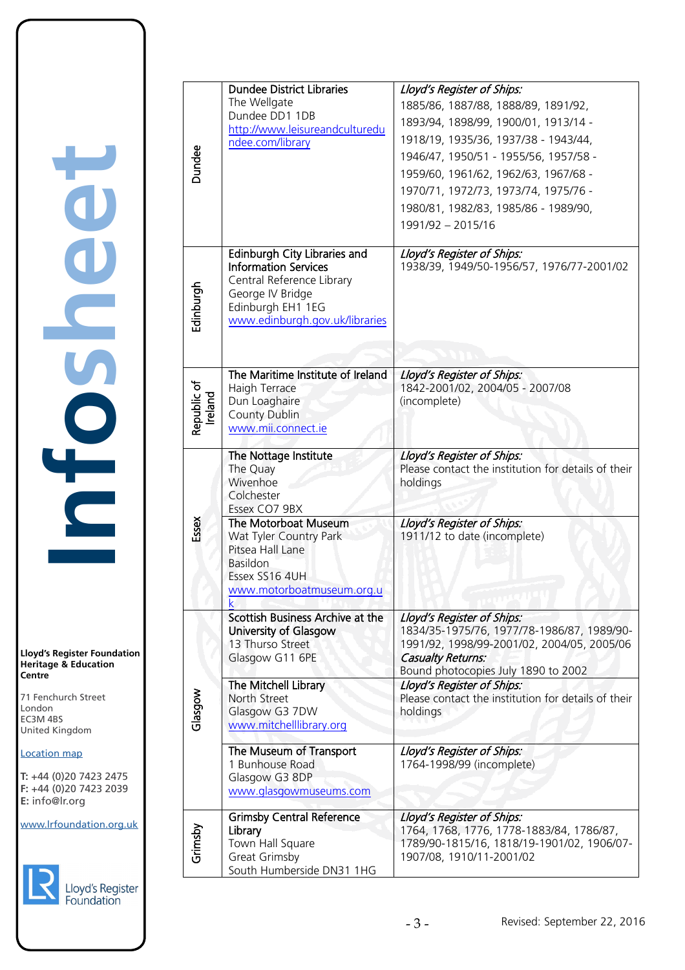**Infosheet Dep** rd's Register Foundat<br>
itage & Education<br>
tre<br>
Eenchurch Street<br>
don<br>
M 4BS<br>
ted Kingdom<br>
ation map<br>
44 (0)20 7423 2475<br>
44 (0)20 7423 2039<br>
nfo@lr.org CHOSE

**Lloyd's Register Foundation Heritage & Education Centre**

71 Fenchurch Street London EC3M 4BS United Kingdom Information Services EC3M 4BS

# Location map

T: +44 (0)20 7423 2475 **F:** +44 (0)20 7423 2039 Fax: +44 (0)20 7423 2039 **E:** info@lr.org  $F \rightarrow (0/20, 1 + 2)$ 



| Dundee                 | <b>Dundee District Libraries</b>                         | Lloyd's Register of Ships:                                                               |
|------------------------|----------------------------------------------------------|------------------------------------------------------------------------------------------|
|                        | The Wellgate<br>Dundee DD1 1DB                           | 1885/86, 1887/88, 1888/89, 1891/92,                                                      |
|                        | http://www.leisureandculturedu                           | 1893/94, 1898/99, 1900/01, 1913/14 -                                                     |
|                        | ndee.com/library                                         | 1918/19, 1935/36, 1937/38 - 1943/44,<br>1946/47, 1950/51 - 1955/56, 1957/58 -            |
|                        |                                                          | 1959/60, 1961/62, 1962/63, 1967/68 -                                                     |
|                        |                                                          | 1970/71, 1972/73, 1973/74, 1975/76 -                                                     |
|                        |                                                          | 1980/81, 1982/83, 1985/86 - 1989/90,                                                     |
|                        |                                                          | 1991/92 - 2015/16                                                                        |
|                        |                                                          |                                                                                          |
|                        | Edinburgh City Libraries and                             | Lloyd's Register of Ships:                                                               |
|                        | <b>Information Services</b><br>Central Reference Library | 1938/39, 1949/50-1956/57, 1976/77-2001/02                                                |
| Edinburgh              | George IV Bridge                                         |                                                                                          |
|                        | Edinburgh EH1 1EG                                        |                                                                                          |
|                        | www.edinburgh.gov.uk/libraries                           |                                                                                          |
|                        |                                                          |                                                                                          |
|                        | The Maritime Institute of Ireland                        |                                                                                          |
|                        | Haigh Terrace                                            | Lloyd's Register of Ships:<br>1842-2001/02, 2004/05 - 2007/08                            |
| Republic of<br>Ireland | Dun Loaghaire                                            | (incomplete)                                                                             |
|                        | <b>County Dublin</b>                                     |                                                                                          |
|                        | www.mii.connect.ie                                       |                                                                                          |
|                        | The Nottage Institute                                    | Lloyd's Register of Ships:                                                               |
|                        | The Quay<br>Wivenhoe                                     | Please contact the institution for details of their<br>holdings                          |
|                        | Colchester                                               |                                                                                          |
|                        | Essex CO7 9BX                                            |                                                                                          |
| Essex                  | The Motorboat Museum<br>Wat Tyler Country Park           | Lloyd's Register of Ships:<br>1911/12 to date (incomplete)                               |
|                        | Pitsea Hall Lane                                         |                                                                                          |
|                        | Basildon                                                 |                                                                                          |
|                        | Essex SS16 4UH<br>www.motorboatmuseum.org.u              |                                                                                          |
|                        | k                                                        |                                                                                          |
|                        | Scottish Business Archive at the                         | Lloyd's Register of Ships:                                                               |
|                        | University of Glasgow<br>13 Thurso Street                | 1834/35-1975/76, 1977/78-1986/87, 1989/90-<br>1991/92, 1998/99-2001/02, 2004/05, 2005/06 |
|                        | Glasgow G11 6PE                                          | <b>Casualty Returns:</b>                                                                 |
|                        |                                                          | Bound photocopies July 1890 to 2002                                                      |
|                        | The Mitchell Library<br>North Street                     | Lloyd's Register of Ships:<br>Please contact the institution for details of their        |
| Glasgow                | Glasgow G3 7DW                                           | holdings                                                                                 |
|                        | www.mitchelllibrary.org                                  |                                                                                          |
|                        | The Museum of Transport                                  | Lloyd's Register of Ships:                                                               |
|                        | 1 Bunhouse Road                                          | 1764-1998/99 (incomplete)                                                                |
|                        | Glasgow G3 8DP<br>www.glasgowmuseums.com                 |                                                                                          |
|                        |                                                          |                                                                                          |
|                        | <b>Grimsby Central Reference</b><br>Library              | Lloyd's Register of Ships:<br>1764, 1768, 1776, 1778-1883/84, 1786/87,                   |
| Grimsby                | Town Hall Square                                         | 1789/90-1815/16, 1818/19-1901/02, 1906/07-                                               |
|                        | <b>Great Grimsby</b>                                     | 1907/08, 1910/11-2001/02                                                                 |
|                        | South Humberside DN31 1HG                                |                                                                                          |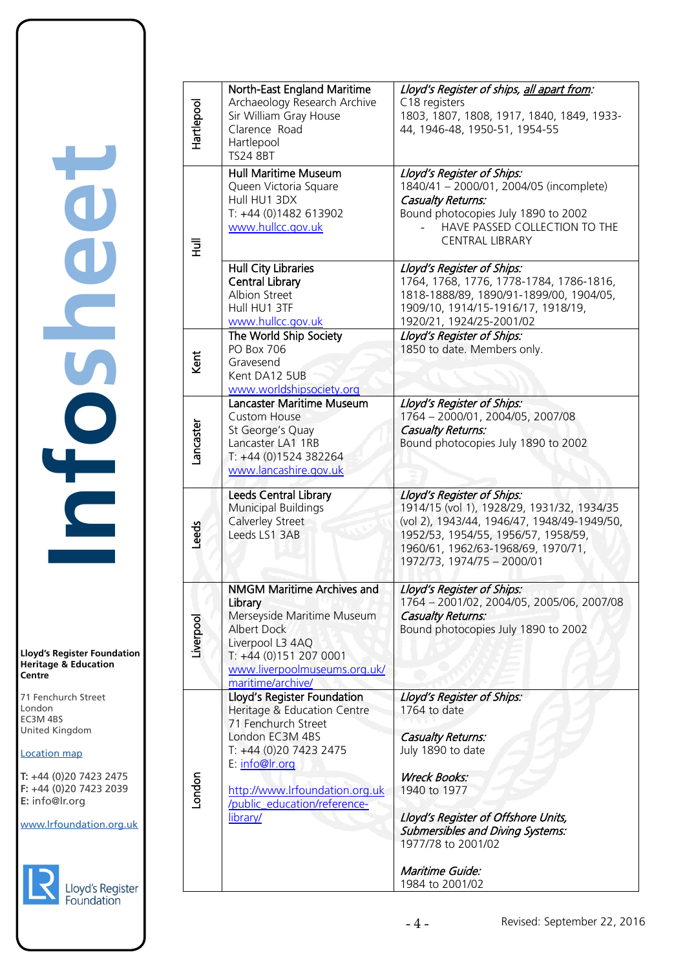**Lloyd's Register Foundation Heritage & Education Centre** rd's Register Foundat<br>
itage & Education<br>
tre<br>
Eenchurch Street<br>
don<br>
M 4BS<br>
ted Kingdom<br>
ation map<br>
44 (0)20 7423 2475<br>
44 (0)20 7423 2039<br>
nfo@lr.org

**Infosheet**

CO-CO

**Dep** 

71 Fenchurch Street London EC3M 4BS United Kingdom Information Services

### Location map

T: +44 (0)20 7423 2475 **F:** +44 (0)20 7423 2039 Fax: +44 (0)20 7423 2039 **E:** info@lr.org  $F \rightarrow (0/20, 1 + 2)$ 

EC3M 4BS



| loyd's Register |  |
|-----------------|--|
| oundation       |  |

| Hartlepool | North-East England Maritime<br>Archaeology Research Archive<br>Sir William Gray House<br>Clarence Road<br>Hartlepool<br><b>TS24 8BT</b>                                                                                        | Lloyd's Register of ships, all apart from:<br>C18 registers<br>1803, 1807, 1808, 1917, 1840, 1849, 1933-<br>44, 1946-48, 1950-51, 1954-55                                                                                                                                        |
|------------|--------------------------------------------------------------------------------------------------------------------------------------------------------------------------------------------------------------------------------|----------------------------------------------------------------------------------------------------------------------------------------------------------------------------------------------------------------------------------------------------------------------------------|
| 로          | <b>Hull Maritime Museum</b><br>Queen Victoria Square<br>Hull HU1 3DX<br>T: +44 (0)1482 613902<br>www.hullcc.gov.uk                                                                                                             | Lloyd's Register of Ships:<br>1840/41 - 2000/01, 2004/05 (incomplete)<br><b>Casualty Returns:</b><br>Bound photocopies July 1890 to 2002<br>HAVE PASSED COLLECTION TO THE<br><b>CENTRAL LIBRARY</b>                                                                              |
|            | <b>Hull City Libraries</b><br><b>Central Library</b><br>Albion Street<br>Hull HU1 3TF<br>www.hullcc.gov.uk                                                                                                                     | Lloyd's Register of Ships:<br>1764, 1768, 1776, 1778-1784, 1786-1816,<br>1818-1888/89, 1890/91-1899/00, 1904/05,<br>1909/10, 1914/15-1916/17, 1918/19,<br>1920/21, 1924/25-2001/02                                                                                               |
| Kent       | The World Ship Society<br><b>PO Box 706</b><br>Gravesend<br>Kent DA12 5UB<br>www.worldshipsociety.org                                                                                                                          | Lloyd's Register of Ships:<br>1850 to date. Members only.                                                                                                                                                                                                                        |
| ancaster   | Lancaster Maritime Museum<br><b>Custom House</b><br>St George's Quay<br>Lancaster LA1 1RB<br>T: +44 (0)1524 382264<br>www.lancashire.gov.uk                                                                                    | Lloyd's Register of Ships:<br>1764 - 2000/01, 2004/05, 2007/08<br><b>Casualty Returns:</b><br>Bound photocopies July 1890 to 2002                                                                                                                                                |
| Leeds      | <b>Leeds Central Library</b><br><b>Municipal Buildings</b><br>Calverley Street<br>Leeds LS1 3AB                                                                                                                                | Lloyd's Register of Ships:<br>1914/15 (vol 1), 1928/29, 1931/32, 1934/35<br>(vol 2), 1943/44, 1946/47, 1948/49-1949/50,<br>1952/53, 1954/55, 1956/57, 1958/59,<br>1960/61, 1962/63-1968/69, 1970/71,<br>1972/73, 1974/75 - 2000/01                                               |
| Liverpool  | <b>NMGM Maritime Archives and</b><br>Library<br>Merseyside Maritime Museum<br><b>Albert Dock</b><br>Liverpool L3 4AQ<br>T: +44 (0)151 207 0001<br>www.liverpoolmuseums.org.uk/<br>maritime/archive/                            | Lloyd's Register of Ships:<br>1764 - 2001/02, 2004/05, 2005/06, 2007/08<br><b>Casualty Returns:</b><br>Bound photocopies July 1890 to 2002                                                                                                                                       |
| London     | Lloyd's Register Foundation<br>Heritage & Education Centre<br>71 Fenchurch Street<br>London EC3M 4BS<br>T: +44 (0)20 7423 2475<br>E: info@lr.org<br>http://www.lrfoundation.org.uk<br>/public_education/reference-<br>library/ | Lloyd's Register of Ships:<br>1764 to date<br><b>Casualty Returns:</b><br>July 1890 to date<br><b>Wreck Books:</b><br>1940 to 1977<br>Lloyd's Register of Offshore Units,<br><b>Submersibles and Diving Systems:</b><br>1977/78 to 2001/02<br>Maritime Guide:<br>1984 to 2001/02 |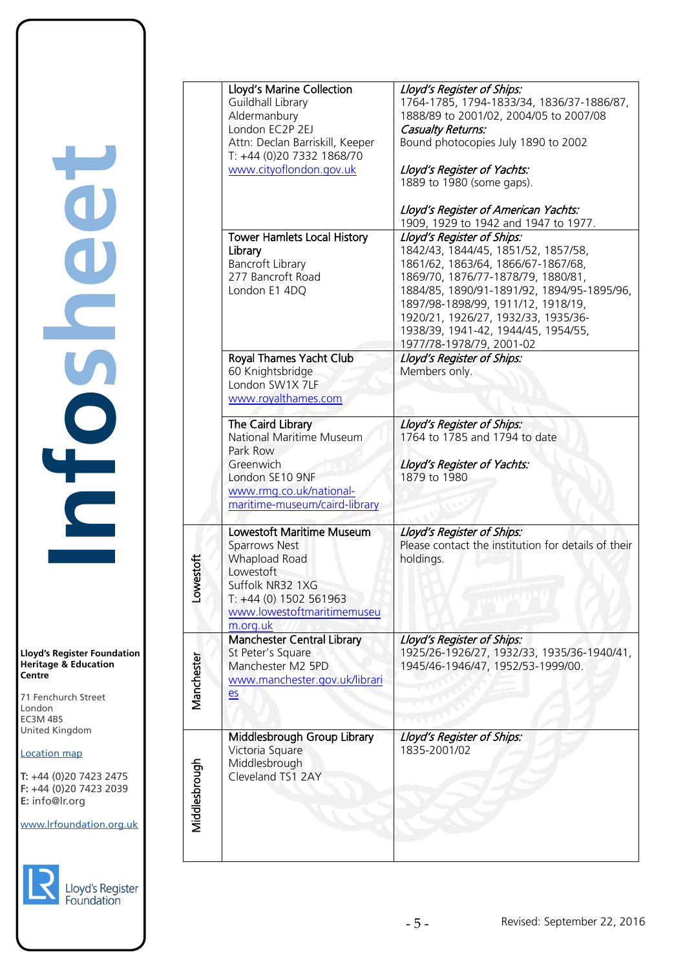**Lloyd's Register Foundation Heritage & Education Centre**

71 Fenchurch Street London EC3M 4BS United Kingdom Information Services

### Location map

T: +44 (0)20 7423 2475 **F:** +44 (0)20 7423 2039 Fax: +44 (0)20 7423 2039 **E:** info@lr.org  $F \rightarrow (0/20, 1 + 2)$ 

EC3M 4BS





|               | Lloyd's Marine Collection<br><b>Guildhall Library</b><br>Aldermanbury<br>London EC2P 2EJ<br>Attn: Declan Barriskill, Keeper<br>T: +44 (0)20 7332 1868/70<br>www.cityoflondon.gov.uk | Lloyd's Register of Ships:<br>1764-1785, 1794-1833/34, 1836/37-1886/87,<br>1888/89 to 2001/02, 2004/05 to 2007/08<br><b>Casualty Returns:</b><br>Bound photocopies July 1890 to 2002<br>Lloyd's Register of Yachts:<br>1889 to 1980 (some gaps).<br>Lloyd's Register of American Yachts:<br>1909, 1929 to 1942 and 1947 to 1977.            |
|---------------|-------------------------------------------------------------------------------------------------------------------------------------------------------------------------------------|---------------------------------------------------------------------------------------------------------------------------------------------------------------------------------------------------------------------------------------------------------------------------------------------------------------------------------------------|
|               | <b>Tower Hamlets Local History</b><br>Library<br><b>Bancroft Library</b><br>277 Bancroft Road<br>London E1 4DQ                                                                      | Lloyd's Register of Ships:<br>1842/43, 1844/45, 1851/52, 1857/58,<br>1861/62, 1863/64, 1866/67-1867/68,<br>1869/70, 1876/77-1878/79, 1880/81,<br>1884/85, 1890/91-1891/92, 1894/95-1895/96,<br>1897/98-1898/99, 1911/12, 1918/19,<br>1920/21, 1926/27, 1932/33, 1935/36-<br>1938/39, 1941-42, 1944/45, 1954/55,<br>1977/78-1978/79, 2001-02 |
|               | Royal Thames Yacht Club<br>60 Knightsbridge<br>London SW1X 7LF<br>www.royalthames.com                                                                                               | Lloyd's Register of Ships:<br>Members only.                                                                                                                                                                                                                                                                                                 |
|               | The Caird Library<br><b>National Maritime Museum</b><br>Park Row<br>Greenwich<br>London SE10 9NF<br>www.rmg.co.uk/national-<br>maritime-museum/caird-library                        | Lloyd's Register of Ships:<br>1764 to 1785 and 1794 to date<br>Lloyd's Register of Yachts:<br>1879 to 1980                                                                                                                                                                                                                                  |
| owestoft      | Lowestoft Maritime Museum<br><b>Sparrows Nest</b><br><b>Whapload Road</b><br>Lowestoft<br>Suffolk NR32 1XG<br>T: +44 (0) 1502 561963<br>www.lowestoftmaritimemuseu<br>m.org.uk      | Lloyd's Register of Ships:<br>Please contact the institution for details of their<br>holdings.                                                                                                                                                                                                                                              |
| Manchester    | <b>Manchester Central Library</b><br>St Peter's Square<br>Manchester M2 5PD<br>www.manchester.gov.uk/librari<br>$e$                                                                 | Lloyd's Register of Ships:<br>1925/26-1926/27, 1932/33, 1935/36-1940/41,<br>1945/46-1946/47, 1952/53-1999/00.                                                                                                                                                                                                                               |
| Middlesbrough | Middlesbrough Group Library<br>Victoria Square<br>Middlesbrough<br>Cleveland TS1 2AY                                                                                                | Lloyd's Register of Ships:<br>1835-2001/02                                                                                                                                                                                                                                                                                                  |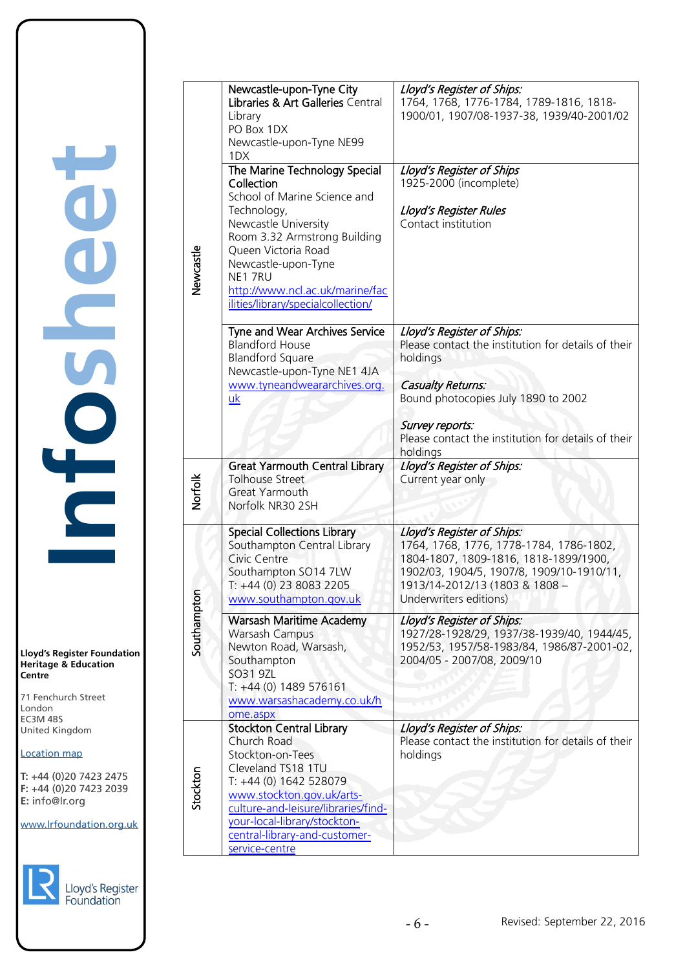**Lloyd's Register Foundation Heritage & Education Centre** rd's Register Foundat<br>
itage & Education<br>
tre<br>
Eenchurch Street<br>
don<br>
M 4BS<br>
ted Kingdom<br>
ation map<br>
44 (0)20 7423 2475<br>
44 (0)20 7423 2039<br>
nfo@lr.org

**Infosheet**

CECS<sub>D</sub>

COO

71 Fenchurch Street London EC3M 4BS United Kingdom Information Services

### Location map

T: +44 (0)20 7423 2475 **F:** +44 (0)20 7423 2039 **E:** info@lr.org  $F + F + (0)207723273$ 

EC3M 4BS



| yd's Register |  |
|---------------|--|
|               |  |
| undation      |  |

|           | Newcastle-upon-Tyne City                                         | Lloyd's Register of Ships:                                                           |
|-----------|------------------------------------------------------------------|--------------------------------------------------------------------------------------|
|           | Libraries & Art Galleries Central<br>Library                     | 1764, 1768, 1776-1784, 1789-1816, 1818-<br>1900/01, 1907/08-1937-38, 1939/40-2001/02 |
|           | PO Box 1DX                                                       |                                                                                      |
|           | Newcastle-upon-Tyne NE99                                         |                                                                                      |
|           | 1DX                                                              |                                                                                      |
|           | The Marine Technology Special<br>Collection                      | Lloyd's Register of Ships<br>1925-2000 (incomplete)                                  |
|           | School of Marine Science and                                     |                                                                                      |
|           | Technology,                                                      | Lloyd's Register Rules                                                               |
|           | Newcastle University                                             | Contact institution                                                                  |
|           | Room 3.32 Armstrong Building<br>Queen Victoria Road              |                                                                                      |
|           | Newcastle-upon-Tyne                                              |                                                                                      |
| Newcastle | NE1 7RU                                                          |                                                                                      |
|           | http://www.ncl.ac.uk/marine/fac                                  |                                                                                      |
|           | ilities/library/specialcollection/                               |                                                                                      |
|           | Tyne and Wear Archives Service                                   | Lloyd's Register of Ships:                                                           |
|           | <b>Blandford House</b>                                           | Please contact the institution for details of their                                  |
|           | <b>Blandford Square</b><br>Newcastle-upon-Tyne NE1 4JA           | holdings                                                                             |
|           | www.tyneandweararchives.org.                                     | <b>Casualty Returns:</b>                                                             |
|           | $\underline{uk}$                                                 | Bound photocopies July 1890 to 2002                                                  |
|           |                                                                  | Survey reports:                                                                      |
|           |                                                                  | Please contact the institution for details of their                                  |
|           |                                                                  | holdings                                                                             |
| Norfolk   | <b>Great Yarmouth Central Library</b>                            | Lloyd's Register of Ships:                                                           |
|           | <b>Tolhouse Street</b><br><b>Great Yarmouth</b>                  | Current year only                                                                    |
|           | Norfolk NR30 2SH                                                 |                                                                                      |
|           | <b>Special Collections Library</b>                               | Lloyd's Register of Ships:                                                           |
|           | Southampton Central Library                                      | 1764, 1768, 1776, 1778-1784, 1786-1802,                                              |
|           | Civic Centre                                                     | 1804-1807, 1809-1816, 1818-1899/1900,                                                |
|           | Southampton SO14 7LW                                             | 1902/03, 1904/5, 1907/8, 1909/10-1910/11,                                            |
|           | T: +44 (0) 23 8083 2205<br>www.southampton.gov.uk                | 1913/14-2012/13 (1803 & 1808 -<br>Underwriters editions)                             |
| Southampt |                                                                  |                                                                                      |
|           | <b>Warsash Maritime Academy</b><br>Warsash Campus                | Lloyd's Register of Ships:<br>1927/28-1928/29, 1937/38-1939/40, 1944/45,             |
|           | Newton Road, Warsash,                                            | 1952/53, 1957/58-1983/84, 1986/87-2001-02,                                           |
|           | Southampton                                                      | 2004/05 - 2007/08, 2009/10                                                           |
|           | SO31 9ZL<br>T: +44 (0) 1489 576161                               |                                                                                      |
|           | www.warsashacademy.co.uk/h                                       |                                                                                      |
|           | ome.aspx                                                         |                                                                                      |
|           | <b>Stockton Central Library</b><br>Church Road                   | Lloyd's Register of Ships:<br>Please contact the institution for details of their    |
|           | Stockton-on-Tees                                                 | holdings                                                                             |
| Stockton  | Cleveland TS18 1TU                                               |                                                                                      |
|           | T: +44 (0) 1642 528079                                           |                                                                                      |
|           | www.stockton.gov.uk/arts-<br>culture-and-leisure/libraries/find- |                                                                                      |
|           | your-local-library/stockton-                                     |                                                                                      |
|           | central-library-and-customer-                                    |                                                                                      |
|           | service-centre                                                   |                                                                                      |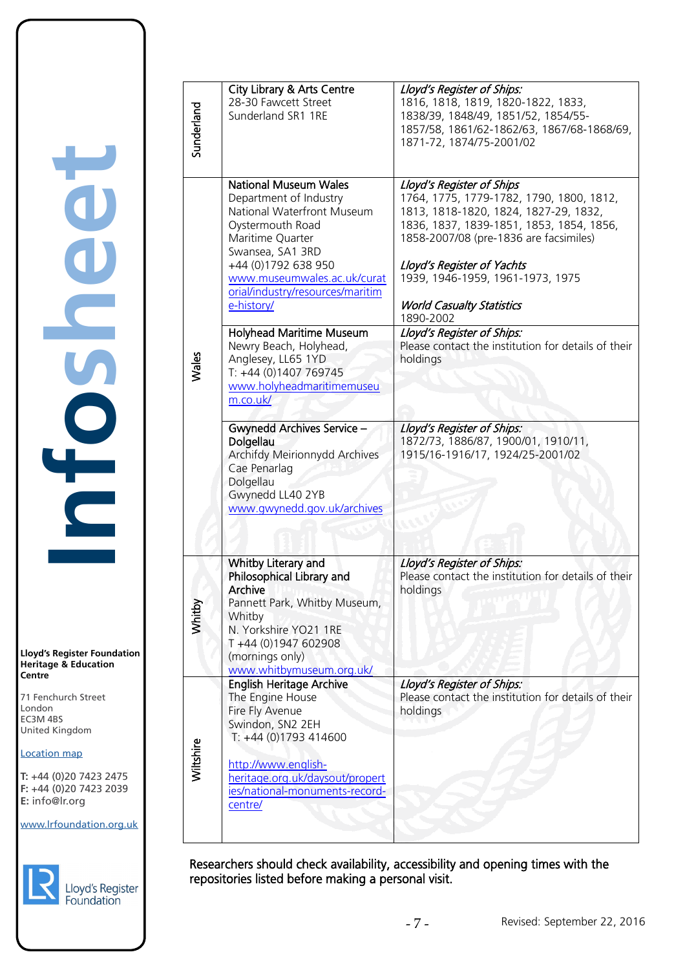**Lloyd's Register Foundation Heritage & Education Centre**

71 Fenchurch Street London EC3M 4BS United Kingdom Information Services EC3M 4BS

# Location map

T: +44 (0)20 7423 2475 **F:** +44 (0)20 7423 2039 Fax: +44 (0)20 7423 2039 **E:** info@lr.org  $F \rightarrow (0/20, 1 + 2)$ 

www.lrfoundation.org.uk



| Sunderland | <b>City Library &amp; Arts Centre</b><br>28-30 Fawcett Street<br>Sunderland SR1 1RE                                                                                                                                                                                                                                                                                                                                                                                                                                                                                       | Lloyd's Register of Ships:<br>1816, 1818, 1819, 1820-1822, 1833,<br>1838/39, 1848/49, 1851/52, 1854/55-<br>1857/58, 1861/62-1862/63, 1867/68-1868/69,<br>1871-72, 1874/75-2001/02                                                                                                                                                                                                                                                                                                                                                 |
|------------|---------------------------------------------------------------------------------------------------------------------------------------------------------------------------------------------------------------------------------------------------------------------------------------------------------------------------------------------------------------------------------------------------------------------------------------------------------------------------------------------------------------------------------------------------------------------------|-----------------------------------------------------------------------------------------------------------------------------------------------------------------------------------------------------------------------------------------------------------------------------------------------------------------------------------------------------------------------------------------------------------------------------------------------------------------------------------------------------------------------------------|
| Wales      | <b>National Museum Wales</b><br>Department of Industry<br>National Waterfront Museum<br>Oystermouth Road<br>Maritime Quarter<br>Swansea, SA1 3RD<br>+44 (0)1792 638 950<br>www.museumwales.ac.uk/curat<br>orial/industry/resources/maritim<br>e-history/<br>Holyhead Maritime Museum<br>Newry Beach, Holyhead,<br>Anglesey, LL65 1YD<br>T: +44 (0)1407 769745<br>www.holyheadmaritimemuseu<br>m.co.uk/<br><b>Gwynedd Archives Service -</b><br>Dolgellau<br>Archifdy Meirionnydd Archives<br>Cae Penarlag<br>Dolgellau<br>Gwynedd LL40 2YB<br>www.gwynedd.gov.uk/archives | Lloyd's Register of Ships<br>1764, 1775, 1779-1782, 1790, 1800, 1812,<br>1813, 1818-1820, 1824, 1827-29, 1832,<br>1836, 1837, 1839-1851, 1853, 1854, 1856,<br>1858-2007/08 (pre-1836 are facsimiles)<br>Lloyd's Register of Yachts<br>1939, 1946-1959, 1961-1973, 1975<br><b>World Casualty Statistics</b><br>1890-2002<br>Lloyd's Register of Ships:<br>Please contact the institution for details of their<br>holdings<br>Lloyd's Register of Ships:<br>1872/73, 1886/87, 1900/01, 1910/11,<br>1915/16-1916/17, 1924/25-2001/02 |
| Whitby     | Whitby Literary and<br>Philosophical Library and<br><b>Archive</b><br>Pannett Park, Whitby Museum,<br>Whitby<br>N. Yorkshire YO21 1RE<br>T+44 (0)1947 602908<br>(mornings only)<br>www.whitbymuseum.org.uk/                                                                                                                                                                                                                                                                                                                                                               | Lloyd's Register of Ships:<br>Please contact the institution for details of their<br>holdings                                                                                                                                                                                                                                                                                                                                                                                                                                     |
| Wiltshire  | <b>English Heritage Archive</b><br>The Engine House<br>Fire Fly Avenue<br>Swindon, SN2 2EH<br>T: +44 (0)1793 414600<br>http://www.english-<br>heritage.org.uk/daysout/propert<br>ies/national-monuments-record-<br>centre/                                                                                                                                                                                                                                                                                                                                                | Lloyd's Register of Ships:<br>Please contact the institution for details of their<br>holdings                                                                                                                                                                                                                                                                                                                                                                                                                                     |

Researchers should check availability, accessibility and opening times with the repositories listed before making a personal visit.